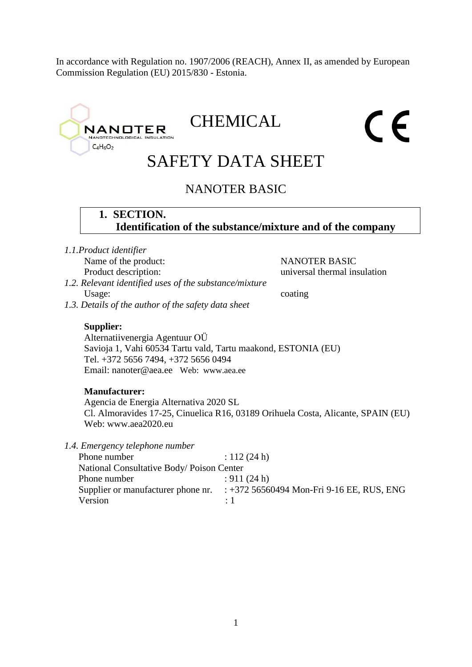In accordance with Regulation no. 1907/2006 (REACH), Annex II, as amended by European Commission Regulation (EU) 2015/830 - Estonia.

# CHEMICAL  $\epsilon$ **NANOTER** TECHNOLOGICAL INS  $C_4H_6O_2$ SAFETY DATA SHEET NANOTER BASIC **1. SECTION. Identification of the substance/mixture and of the company** *1.1.Product identifier* Name of the product: NANOTER BASIC Product description: universal thermal insulation *1.2. Relevant identified uses of the substance/mixture* Usage: coating *1.3. Details of the author of the safety data sheet* **Supplier:** Alternatiivenergia Agentuur OÜ Savioja 1, Vahi 60534 Tartu vald, Tartu maakond, ESTONIA (EU) Tel. +372 5656 7494, +372 5656 0494 Email: nanoter@aea.ee Web: www.aea.ee **Manufacturer:**  Agencia de Energia Alternativa 2020 SL Cl. Almoravides 17-25, Cinuelica R16, 03189 Orihuela Costa, Alicante, SPAIN (EU) Web: www.aea2020.eu *1.4. Emergency telephone number* Phone number : 112 (24 h) National Consultative Body/ Poison Center Phone number : 911 (24 h) Supplier or manufacturer phone nr. : +372 56560494 Mon-Fri 9-16 EE, RUS, ENG Version : 1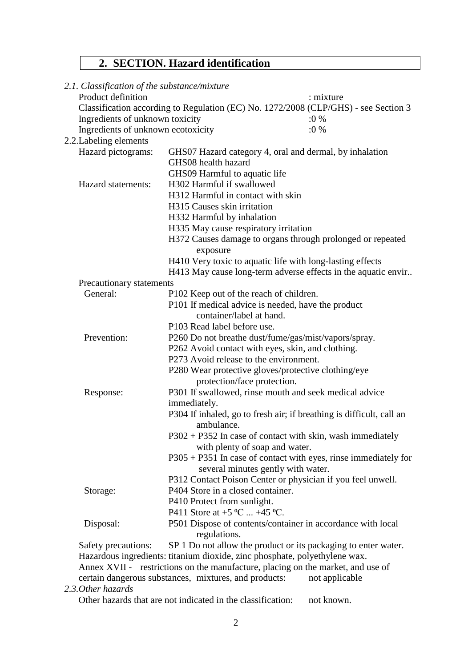# **2. SECTION. Hazard identification**

| 2.1. Classification of the substance/mixture |                                                                                     |           |
|----------------------------------------------|-------------------------------------------------------------------------------------|-----------|
| Product definition                           |                                                                                     | : mixture |
|                                              | Classification according to Regulation (EC) No. 1272/2008 (CLP/GHS) - see Section 3 |           |
| Ingredients of unknown toxicity              |                                                                                     | $:0\%$    |
| Ingredients of unknown ecotoxicity           |                                                                                     | $:0\%$    |
| 2.2. Labeling elements                       |                                                                                     |           |
| Hazard pictograms:                           | GHS07 Hazard category 4, oral and dermal, by inhalation                             |           |
|                                              | GHS08 health hazard                                                                 |           |
|                                              | GHS09 Harmful to aquatic life                                                       |           |
| Hazard statements:                           | H302 Harmful if swallowed                                                           |           |
|                                              | H312 Harmful in contact with skin                                                   |           |
|                                              | H315 Causes skin irritation                                                         |           |
|                                              | H332 Harmful by inhalation                                                          |           |
|                                              | H335 May cause respiratory irritation                                               |           |
|                                              | H372 Causes damage to organs through prolonged or repeated<br>exposure              |           |
|                                              | H410 Very toxic to aquatic life with long-lasting effects                           |           |
|                                              | H413 May cause long-term adverse effects in the aquatic envir                       |           |
| Precautionary statements                     |                                                                                     |           |
| General:                                     | P102 Keep out of the reach of children.                                             |           |
|                                              | P101 If medical advice is needed, have the product                                  |           |
|                                              | container/label at hand.                                                            |           |
|                                              | P103 Read label before use.                                                         |           |
| Prevention:                                  | P260 Do not breathe dust/fume/gas/mist/vapors/spray.                                |           |
|                                              | P262 Avoid contact with eyes, skin, and clothing.                                   |           |
|                                              | P273 Avoid release to the environment.                                              |           |
|                                              | P280 Wear protective gloves/protective clothing/eye                                 |           |
|                                              | protection/face protection.                                                         |           |
| Response:                                    | P301 If swallowed, rinse mouth and seek medical advice                              |           |
|                                              | immediately.                                                                        |           |
|                                              | P304 If inhaled, go to fresh air; if breathing is difficult, call an<br>ambulance.  |           |
|                                              | P302 + P352 In case of contact with skin, wash immediately                          |           |
|                                              | with plenty of soap and water.                                                      |           |
|                                              | $P305 + P351$ In case of contact with eyes, rinse immediately for                   |           |
|                                              | several minutes gently with water.                                                  |           |
|                                              | P312 Contact Poison Center or physician if you feel unwell.                         |           |
| Storage:                                     | P404 Store in a closed container.                                                   |           |
|                                              | P410 Protect from sunlight.                                                         |           |
|                                              | P411 Store at $+5$ °C $+45$ °C.                                                     |           |
| Disposal:                                    | P501 Dispose of contents/container in accordance with local                         |           |
|                                              | regulations.                                                                        |           |
| Safety precautions:                          | SP 1 Do not allow the product or its packaging to enter water.                      |           |
|                                              | Hazardous ingredients: titanium dioxide, zinc phosphate, polyethylene wax.          |           |
|                                              | Annex XVII - restrictions on the manufacture, placing on the market, and use of     |           |

certain dangerous substances, mixtures, and products: not applicable

*2.3.Other hazards*

Other hazards that are not indicated in the classification: not known.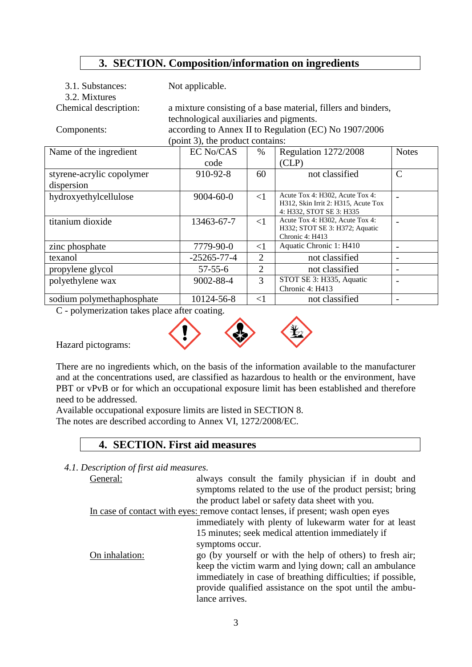## **3. SECTION. Composition/information on ingredients**

| 3.1. Substances:<br>3.2. Mixtures | Not applicable.                         |                |                                                               |                          |
|-----------------------------------|-----------------------------------------|----------------|---------------------------------------------------------------|--------------------------|
|                                   |                                         |                |                                                               |                          |
| Chemical description:             |                                         |                | a mixture consisting of a base material, fillers and binders, |                          |
|                                   | technological auxiliaries and pigments. |                |                                                               |                          |
| Components:                       |                                         |                | according to Annex II to Regulation (EC) No 1907/2006         |                          |
|                                   | (point 3), the product contains:        |                |                                                               |                          |
| Name of the ingredient            | <b>EC No/CAS</b>                        | $\%$           | Regulation 1272/2008                                          | <b>Notes</b>             |
|                                   | code                                    |                | CLP)                                                          |                          |
| styrene-acrylic copolymer         | 910-92-8                                | 60             | not classified                                                | $\mathcal{C}$            |
| dispersion                        |                                         |                |                                                               |                          |
| hydroxyethylcellulose             | $9004 - 60 - 0$                         | $\leq$ 1       | Acute Tox 4: H302, Acute Tox 4:                               |                          |
|                                   |                                         |                | H312, Skin Irrit 2: H315, Acute Tox                           |                          |
|                                   |                                         |                | 4: H332, STOT SE 3: H335<br>Acute Tox 4: H302, Acute Tox 4:   |                          |
| titanium dioxide                  | 13463-67-7                              | $\leq$ 1       | H332; STOT SE 3: H372; Aquatic                                |                          |
|                                   |                                         |                | Chronic 4: H413                                               |                          |
| zinc phosphate                    | 7779-90-0                               | $<$ 1          | Aquatic Chronic 1: H410                                       |                          |
| texanol                           | $-25265 - 77 - 4$                       | $\overline{2}$ | not classified                                                |                          |
| propylene glycol                  | $57 - 55 - 6$                           | $\overline{2}$ | not classified                                                | $\overline{\phantom{a}}$ |
| polyethylene wax                  | 9002-88-4                               | 3              | STOT SE 3: H335, Aquatic                                      |                          |
|                                   |                                         |                | Chronic 4: H413                                               |                          |
| sodium polymethaphosphate         | 10124-56-8                              | $<$ 1          | not classified                                                |                          |

C - polymerization takes place after coating.



Hazard pictograms:

There are no ingredients which, on the basis of the information available to the manufacturer and at the concentrations used, are classified as hazardous to health or the environment, have PBT or vPvB or for which an occupational exposure limit has been established and therefore need to be addressed.

Available occupational exposure limits are listed in SECTION 8.

The notes are described according to Annex VI, 1272/2008/EC.

## **4. SECTION. First aid measures**

*4.1. Description of first aid measures.*

| General:       | always consult the family physician if in doubt and                             |  |  |
|----------------|---------------------------------------------------------------------------------|--|--|
|                | symptoms related to the use of the product persist; bring                       |  |  |
|                | the product label or safety data sheet with you.                                |  |  |
|                | In case of contact with eyes: remove contact lenses, if present; wash open eyes |  |  |
|                | immediately with plenty of lukewarm water for at least                          |  |  |
|                | 15 minutes; seek medical attention immediately if                               |  |  |
|                | symptoms occur.                                                                 |  |  |
| On inhalation: | go (by yourself or with the help of others) to fresh air;                       |  |  |
|                | keep the victim warm and lying down; call an ambulance                          |  |  |
|                | immediately in case of breathing difficulties; if possible,                     |  |  |
|                | provide qualified assistance on the spot until the ambu-                        |  |  |
|                | lance arrives.                                                                  |  |  |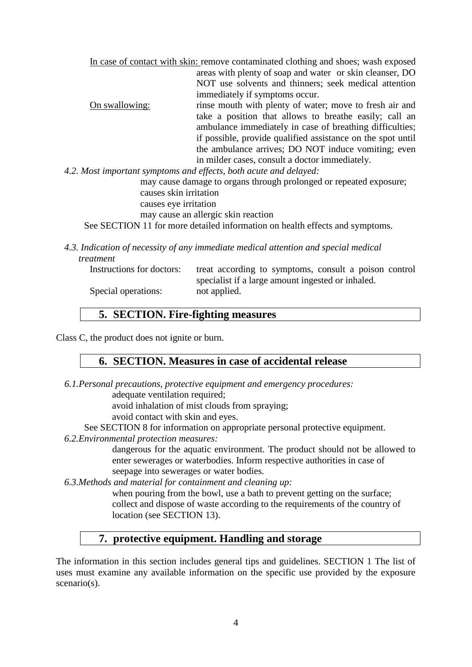In case of contact with skin: remove contaminated clothing and shoes; wash exposed areas with plenty of soap and water or skin cleanser, DO NOT use solvents and thinners; seek medical attention immediately if symptoms occur. On swallowing: rinse mouth with plenty of water; move to fresh air and take a position that allows to breathe easily; call an ambulance immediately in case of breathing difficulties; if possible, provide qualified assistance on the spot until the ambulance arrives; DO NOT induce vomiting; even in milder cases, consult a doctor immediately.

*4.2. Most important symptoms and effects, both acute and delayed:*

may cause damage to organs through prolonged or repeated exposure; causes skin irritation

causes eye irritation

may cause an allergic skin reaction

See SECTION 11 for more detailed information on health effects and symptoms.

*4.3. Indication of necessity of any immediate medical attention and special medical treatment*

| Instructions for doctors: | treat according to symptoms, consult a poison control |
|---------------------------|-------------------------------------------------------|
|                           | specialist if a large amount ingested or inhaled.     |
| Special operations:       | not applied.                                          |

## **5. SECTION. Fire-fighting measures**

Class C, the product does not ignite or burn.

#### **6. SECTION. Measures in case of accidental release**

- *6.1.Personal precautions, protective equipment and emergency procedures:* adequate ventilation required;
	-

avoid inhalation of mist clouds from spraying;

avoid contact with skin and eyes.

See SECTION 8 for information on appropriate personal protective equipment.

*6.2.Environmental protection measures:*

dangerous for the aquatic environment. The product should not be allowed to enter sewerages or waterbodies. Inform respective authorities in case of seepage into sewerages or water bodies.

*6.3.Methods and material for containment and cleaning up:*

when pouring from the bowl, use a bath to prevent getting on the surface; collect and dispose of waste according to the requirements of the country of location (see SECTION 13).

## **7. protective equipment. Handling and storage**

The information in this section includes general tips and guidelines. SECTION 1 The list of uses must examine any available information on the specific use provided by the exposure scenario(s).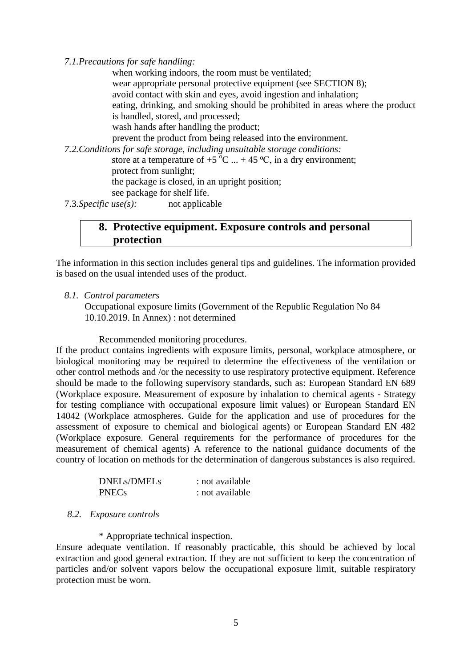*7.1.Precautions for safe handling:*

when working indoors, the room must be ventilated; wear appropriate personal protective equipment (see SECTION 8); avoid contact with skin and eyes, avoid ingestion and inhalation; eating, drinking, and smoking should be prohibited in areas where the product is handled, stored, and processed; wash hands after handling the product; prevent the product from being released into the environment. *7.2.Conditions for safe storage, including unsuitable storage conditions:* store at a temperature of  $+5$  °C  $... + 45$  °C, in a dry environment; protect from sunlight; the package is closed, in an upright position; see package for shelf life. 7.3.*Specific use(s):* not applicable

## **8. Protective equipment. Exposure controls and personal protection**

The information in this section includes general tips and guidelines. The information provided is based on the usual intended uses of the product.

*8.1. Control parameters*

Occupational exposure limits (Government of the Republic Regulation No 84 10.10.2019. In Annex) : not determined

Recommended monitoring procedures.

If the product contains ingredients with exposure limits, personal, workplace atmosphere, or biological monitoring may be required to determine the effectiveness of the ventilation or other control methods and /or the necessity to use respiratory protective equipment. Reference should be made to the following supervisory standards, such as: European Standard EN 689 (Workplace exposure. Measurement of exposure by inhalation to chemical agents - Strategy for testing compliance with occupational exposure limit values) or European Standard EN 14042 (Workplace atmospheres. Guide for the application and use of procedures for the assessment of exposure to chemical and biological agents) or European Standard EN 482 (Workplace exposure. General requirements for the performance of procedures for the measurement of chemical agents) A reference to the national guidance documents of the country of location on methods for the determination of dangerous substances is also required.

| DNELs/DMELs  | : not available |
|--------------|-----------------|
| <b>PNECs</b> | : not available |

#### *8.2. Exposure controls*

\* Appropriate technical inspection.

Ensure adequate ventilation. If reasonably practicable, this should be achieved by local extraction and good general extraction. If they are not sufficient to keep the concentration of particles and/or solvent vapors below the occupational exposure limit, suitable respiratory protection must be worn.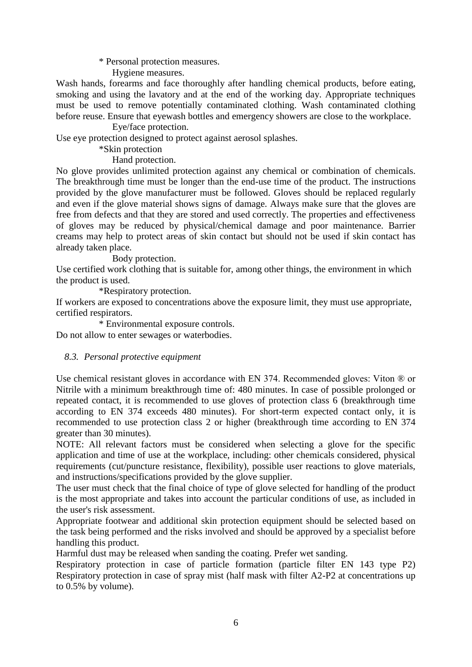\* Personal protection measures.

Hygiene measures.

Wash hands, forearms and face thoroughly after handling chemical products, before eating, smoking and using the lavatory and at the end of the working day. Appropriate techniques must be used to remove potentially contaminated clothing. Wash contaminated clothing before reuse. Ensure that eyewash bottles and emergency showers are close to the workplace.

Eye/face protection.

Use eye protection designed to protect against aerosol splashes.

\*Skin protection

Hand protection.

No glove provides unlimited protection against any chemical or combination of chemicals. The breakthrough time must be longer than the end-use time of the product. The instructions provided by the glove manufacturer must be followed. Gloves should be replaced regularly and even if the glove material shows signs of damage. Always make sure that the gloves are free from defects and that they are stored and used correctly. The properties and effectiveness of gloves may be reduced by physical/chemical damage and poor maintenance. Barrier creams may help to protect areas of skin contact but should not be used if skin contact has already taken place.

Body protection.

Use certified work clothing that is suitable for, among other things, the environment in which the product is used.

\*Respiratory protection.

If workers are exposed to concentrations above the exposure limit, they must use appropriate, certified respirators.

\* Environmental exposure controls. Do not allow to enter sewages or waterbodies.

#### *8.3. Personal protective equipment*

Use chemical resistant gloves in accordance with EN 374. Recommended gloves: Viton ® or Nitrile with a minimum breakthrough time of: 480 minutes. In case of possible prolonged or repeated contact, it is recommended to use gloves of protection class 6 (breakthrough time according to EN 374 exceeds 480 minutes). For short-term expected contact only, it is recommended to use protection class 2 or higher (breakthrough time according to EN 374 greater than 30 minutes).

NOTE: All relevant factors must be considered when selecting a glove for the specific application and time of use at the workplace, including: other chemicals considered, physical requirements (cut/puncture resistance, flexibility), possible user reactions to glove materials, and instructions/specifications provided by the glove supplier.

The user must check that the final choice of type of glove selected for handling of the product is the most appropriate and takes into account the particular conditions of use, as included in the user's risk assessment.

Appropriate footwear and additional skin protection equipment should be selected based on the task being performed and the risks involved and should be approved by a specialist before handling this product.

Harmful dust may be released when sanding the coating. Prefer wet sanding.

Respiratory protection in case of particle formation (particle filter EN 143 type P2) Respiratory protection in case of spray mist (half mask with filter A2-P2 at concentrations up to 0.5% by volume).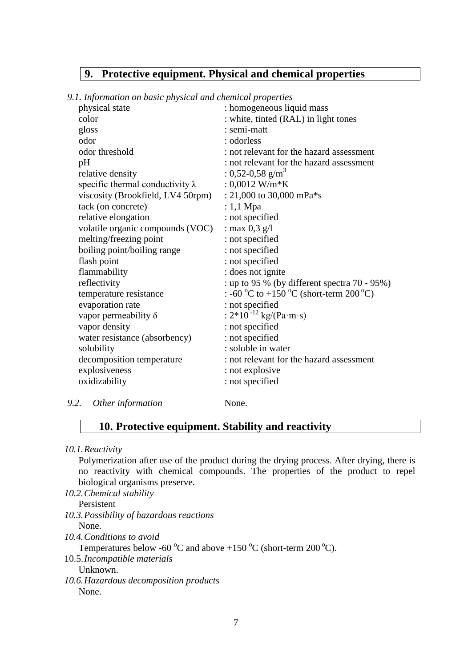## **9. Protective equipment. Physical and chemical properties**

*9.1. Information on basic physical and chemical properties*

| physical state                          | : homogeneous liquid mass                        |
|-----------------------------------------|--------------------------------------------------|
| color                                   | : white, tinted (RAL) in light tones             |
| gloss                                   | : semi-matt                                      |
| odor                                    | : odorless                                       |
| odor threshold                          | : not relevant for the hazard assessment         |
| pH                                      | : not relevant for the hazard assessment         |
| relative density                        | : 0,52-0,58 g/m <sup>3</sup>                     |
| specific thermal conductivity $\lambda$ | : $0,0012$ W/m*K                                 |
| viscosity (Brookfield, LV4 50rpm)       | : 21,000 to 30,000 mPa $*$ s                     |
| tack (on concrete)                      | : 1,1 Mpa                                        |
| relative elongation                     | : not specified                                  |
| volatile organic compounds (VOC)        | : max $0,3$ g/l                                  |
| melting/freezing point                  | : not specified                                  |
| boiling point/boiling range             | : not specified                                  |
| flash point                             | : not specified                                  |
| flammability                            | : does not ignite                                |
| reflectivity                            | : up to 95 % (by different spectra $70 - 95\%$ ) |
| temperature resistance                  | : -60 °C to +150 °C (short-term 200 °C)          |
| evaporation rate                        | : not specified                                  |
| vapor permeability $\delta$             | : $2*10^{-12}$ kg/(Pa·m·s)                       |
| vapor density                           | : not specified                                  |
| water resistance (absorbency)           | : not specified                                  |
| solubility                              | : soluble in water                               |
| decomposition temperature               | : not relevant for the hazard assessment         |
| explosiveness                           | : not explosive                                  |
| oxidizability                           | : not specified                                  |
|                                         |                                                  |

#### *9.2. Other information* None.

## **10. Protective equipment. Stability and reactivity**

*10.1.Reactivity*

Polymerization after use of the product during the drying process. After drying, there is no reactivity with chemical compounds. The properties of the product to repel biological organisms preserve.

*10.2.Chemical stability* Persistent

- *10.3.Possibility of hazardous reactions*
- None.
- *10.4.Conditions to avoid*

Temperatures below -60  $\mathrm{^{\circ}C}$  and above +150  $\mathrm{^{\circ}C}$  (short-term 200  $\mathrm{^{\circ}C}$ ).

10.5.*Incompatible materials*

Unknown.

*10.6.Hazardous decomposition products* None.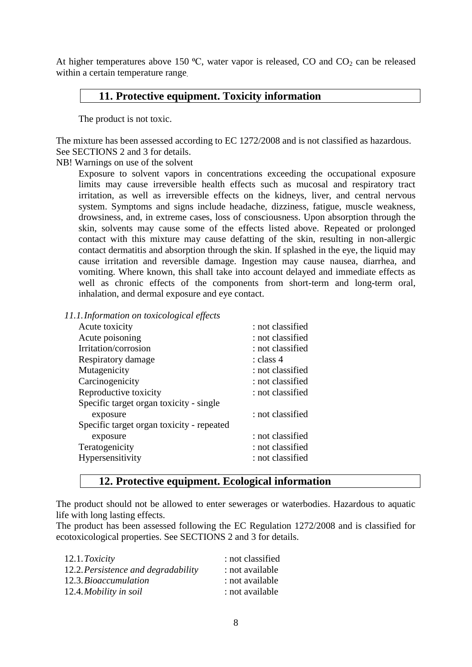At higher temperatures above 150  $\degree$ C, water vapor is released, CO and CO<sub>2</sub> can be released within a certain temperature range.

## **11. Protective equipment. Toxicity information**

The product is not toxic.

The mixture has been assessed according to EC 1272/2008 and is not classified as hazardous. See SECTIONS 2 and 3 for details.

NB! Warnings on use of the solvent

Exposure to solvent vapors in concentrations exceeding the occupational exposure limits may cause irreversible health effects such as mucosal and respiratory tract irritation, as well as irreversible effects on the kidneys, liver, and central nervous system. Symptoms and signs include headache, dizziness, fatigue, muscle weakness, drowsiness, and, in extreme cases, loss of consciousness. Upon absorption through the skin, solvents may cause some of the effects listed above. Repeated or prolonged contact with this mixture may cause defatting of the skin, resulting in non-allergic contact dermatitis and absorption through the skin. If splashed in the eye, the liquid may cause irritation and reversible damage. Ingestion may cause nausea, diarrhea, and vomiting. Where known, this shall take into account delayed and immediate effects as well as chronic effects of the components from short-term and long-term oral, inhalation, and dermal exposure and eye contact.

|  |  |  |  | 11.1. Information on toxicological effects |
|--|--|--|--|--------------------------------------------|
|  |  |  |  |                                            |

| Acute toxicity                            | : not classified |
|-------------------------------------------|------------------|
| Acute poisoning                           | : not classified |
| Irritation/corrosion                      | : not classified |
| Respiratory damage                        | : class 4        |
| Mutagenicity                              | : not classified |
| Carcinogenicity                           | : not classified |
| Reproductive toxicity                     | : not classified |
| Specific target organ toxicity - single   |                  |
| exposure                                  | : not classified |
| Specific target organ toxicity - repeated |                  |
| exposure                                  | : not classified |
| Teratogenicity                            | : not classified |
| Hypersensitivity                          | : not classified |
|                                           |                  |

## **12. Protective equipment. Ecological information**

The product should not be allowed to enter sewerages or waterbodies. Hazardous to aquatic life with long lasting effects.

The product has been assessed following the EC Regulation 1272/2008 and is classified for ecotoxicological properties. See SECTIONS 2 and 3 for details.

| 12.1. Toxicity                      | : not classified |
|-------------------------------------|------------------|
| 12.2. Persistence and degradability | : not available  |
| 12.3. Bioaccumulation               | : not available  |
| 12.4. Mobility in soil              | : not available  |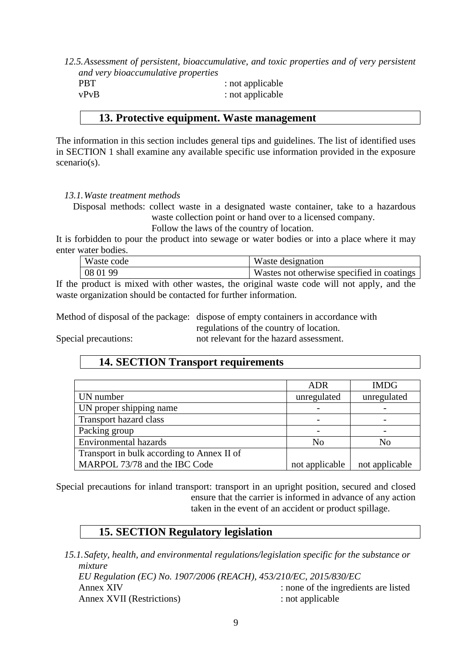*12.5.Assessment of persistent, bioaccumulative, and toxic properties and of very persistent and very bioaccumulative properties*

| <b>PBT</b> | : not applicable |
|------------|------------------|
| vPvB       | : not applicable |

## **13. Protective equipment. Waste management**

The information in this section includes general tips and guidelines. The list of identified uses in SECTION 1 shall examine any available specific use information provided in the exposure scenario(s).

#### *13.1.Waste treatment methods*

Disposal methods: collect waste in a designated waste container, take to a hazardous waste collection point or hand over to a licensed company.

Follow the laws of the country of location.

It is forbidden to pour the product into sewage or water bodies or into a place where it may enter water bodies.

| Waste code        | Waste designation                          |
|-------------------|--------------------------------------------|
| $\frac{1080199}{$ | Wastes not otherwise specified in coatings |
|                   |                                            |

If the product is mixed with other wastes, the original waste code will not apply, and the waste organization should be contacted for further information.

Method of disposal of the package: dispose of empty containers in accordance with regulations of the country of location.

Special precautions: not relevant for the hazard assessment.

## **14. SECTION Transport requirements**

|                                            | ADR            | <b>IMDG</b>    |
|--------------------------------------------|----------------|----------------|
| UN number                                  | unregulated    | unregulated    |
| UN proper shipping name                    |                |                |
| Transport hazard class                     |                |                |
| Packing group                              |                |                |
| <b>Environmental hazards</b>               | N <sub>0</sub> | No             |
| Transport in bulk according to Annex II of |                |                |
| MARPOL 73/78 and the IBC Code              | not applicable | not applicable |

Special precautions for inland transport: transport in an upright position, secured and closed ensure that the carrier is informed in advance of any action taken in the event of an accident or product spillage.

## **15. SECTION Regulatory legislation**

*15.1.Safety, health, and environmental regulations/legislation specific for the substance or mixture EU Regulation (EC) No. 1907/2006 (REACH), 453/210/EC, 2015/830/EC* Annex XIV : none of the ingredients are listed Annex XVII (Restrictions) : not applicable